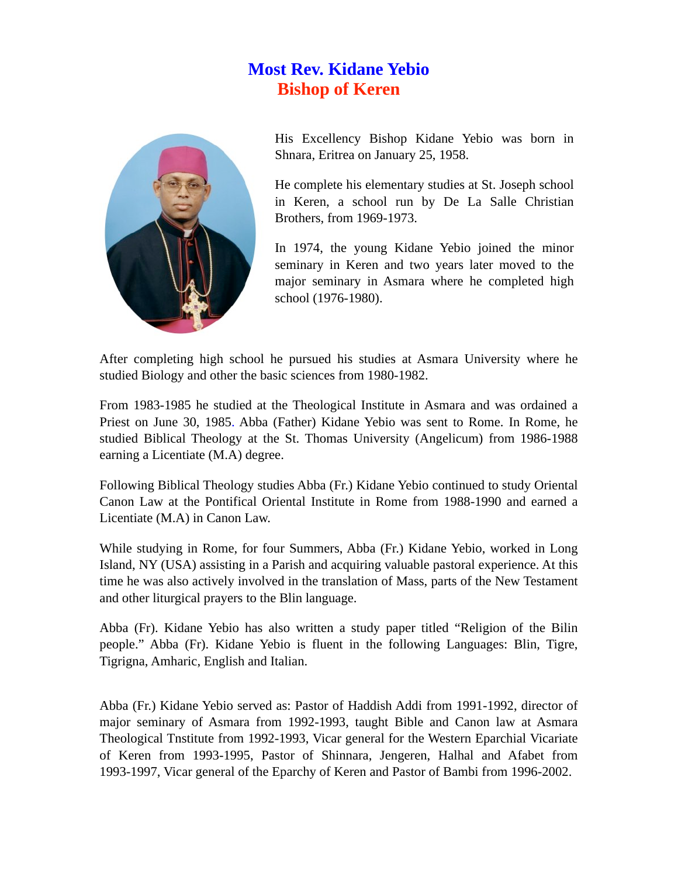## **Most Rev. Kidane Yebio Bishop of Keren**



His Excellency Bishop Kidane Yebio was born in Shnara, Eritrea on January 25, 1958.

He complete his elementary studies at St. Joseph school in Keren, a school run by De La Salle Christian Brothers, from 1969-1973.

In 1974, the young Kidane Yebio joined the minor seminary in Keren and two years later moved to the major seminary in Asmara where he completed high school (1976-1980).

After completing high school he pursued his studies at Asmara University where he studied Biology and other the basic sciences from 1980-1982.

From 1983-1985 he studied at the Theological Institute in Asmara and was ordained a Priest on June 30, 1985. Abba (Father) Kidane Yebio was sent to Rome. In Rome, he studied Biblical Theology at the St. Thomas University (Angelicum) from 1986-1988 earning a Licentiate (M.A) degree.

Following Biblical Theology studies Abba (Fr.) Kidane Yebio continued to study Oriental Canon Law at the Pontifical Oriental Institute in Rome from 1988-1990 and earned a Licentiate (M.A) in Canon Law.

While studying in Rome, for four Summers, Abba (Fr.) Kidane Yebio, worked in Long Island, NY (USA) assisting in a Parish and acquiring valuable pastoral experience. At this time he was also actively involved in the translation of Mass, parts of the New Testament and other liturgical prayers to the Blin language.

Abba (Fr). Kidane Yebio has also written a study paper titled "Religion of the Bilin people." Abba (Fr). Kidane Yebio is fluent in the following Languages: Blin, Tigre, Tigrigna, Amharic, English and Italian.

Abba (Fr.) Kidane Yebio served as: Pastor of Haddish Addi from 1991-1992, director of major seminary of Asmara from 1992-1993, taught Bible and Canon law at Asmara Theological Tnstitute from 1992-1993, Vicar general for the Western Eparchial Vicariate of Keren from 1993-1995, Pastor of Shinnara, Jengeren, Halhal and Afabet from 1993-1997, Vicar general of the Eparchy of Keren and Pastor of Bambi from 1996-2002.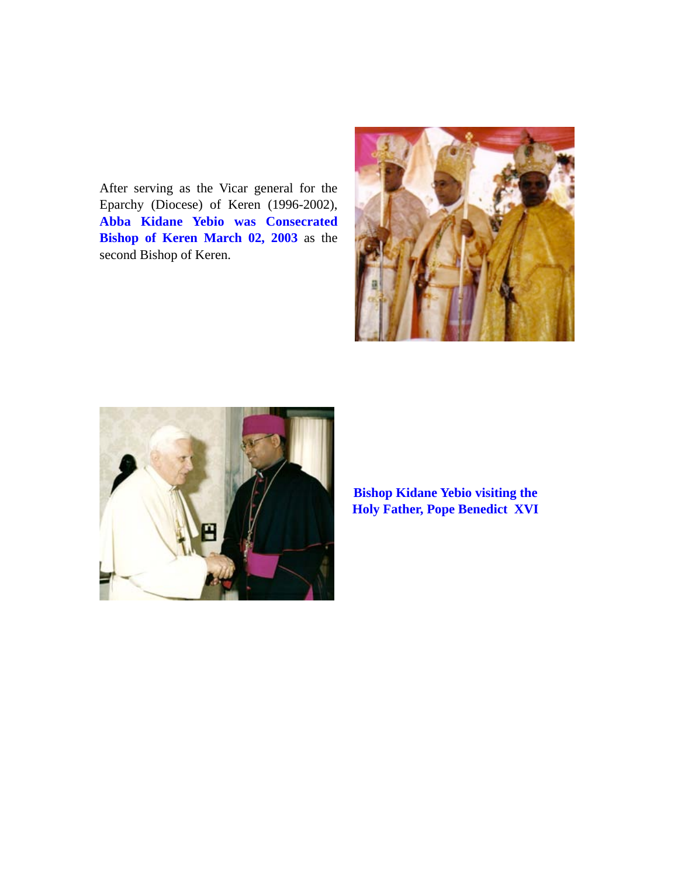After serving as the Vicar general for the Eparchy (Diocese) of Keren (1996-2002), **Abba Kidane Yebio was Consecrated Bishop of Keren March 02, 2003** as the second Bishop of Keren.





**Bishop Kidane Yebio visiting the Holy Father, Pope Benedict XVI**